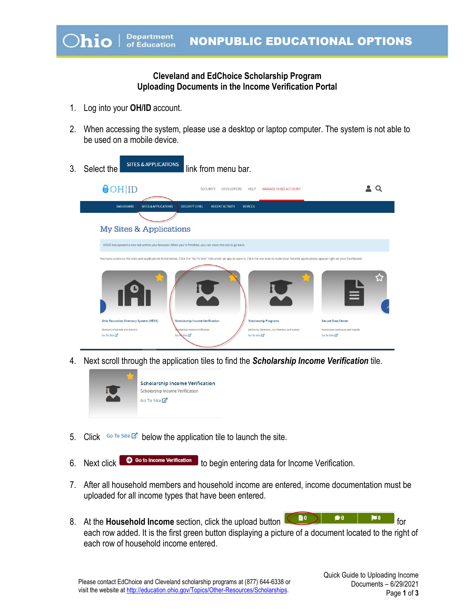## **Cleveland and EdChoice Scholarship Program Uploading Documents in the Income Verification Portal**

- 1. Log into your **OH/ID** account.
- 2. When accessing the system, please use a desktop or laptop computer. The system is not able to be used on a mobile device.
- 3. Select the sites & APPLICATIONS link from menu bar.  $\Theta$ OH ID  $2Q$ SECURITY DEVELOPERS HELP MANAGE OH ID ACCOUNT **DASHBOARD SITES & APPLICATIONS** SECURITY LEVEL RECENT ACTIVITY DEVICES My Sites & Applications OH|ID has opened a new tab within your browser. When you're finished, you can close this tab to go back e access to the sites and applications listed below. Click the "Go To Site" link under an app to open it. Click the star icon to make your favorite applications appear right on your Dashboard **Scholarship Program:** Secure Data Center se and reports Go To Site  $\mathbb{Z}^n$ te <mark>C</mark> Go To Site  $\overline{\mathbb{Z}}^n$ Go To Site  $\overline{\mathbb{Z}}^n$
- 4. Next scroll through the application tiles to find the *Scholarship Income Verification* tile.



- 5. Click Go To Site  $\mathbb{Z}^n$  below the application tile to launch the site.
- 6. Next click  $\bullet$  Go to income Verification to begin entering data for Income Verification.
- 7. After all household members and household income are entered, income documentation must be uploaded for all income types that have been entered.
- 8. At the **Household Income** section, click the upload button **6. Equation For** for each row added. It is the first green button displaying a picture of a document located to the right of each row of household income entered.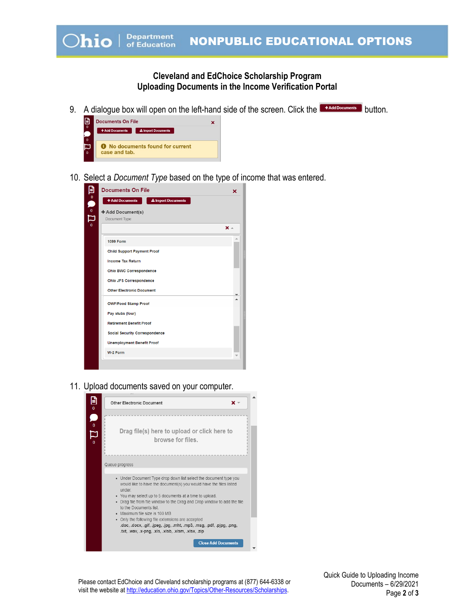## **Cleveland and EdChoice Scholarship Program Uploading Documents in the Income Verification Portal**

9. A dialogue box will open on the left-hand side of the screen. Click the **Buthold Cocuments** button.



10. Select a *Document Type* based on the type of income that was entered.

|                                 | <b>Documents On File</b>                    | ×            |
|---------------------------------|---------------------------------------------|--------------|
| $\blacksquare$ - $\blacksquare$ | +Add Documents<br><b>L</b> Import Documents |              |
|                                 | + Add Document(s)                           |              |
|                                 | Document Type                               |              |
|                                 |                                             | $x -$        |
|                                 | <b>1099 Form</b>                            |              |
|                                 | <b>Child Support Payment Proof</b>          |              |
|                                 | <b>Income Tax Return</b>                    |              |
|                                 | Ohio BWC Correspondence                     |              |
|                                 | Ohio JFS Correspondence                     |              |
|                                 | <b>Other Electronic Document</b>            | $\mathbf{v}$ |
|                                 | <b>OWF/Food Stamp Proof</b>                 |              |
|                                 | Pay stubs (four)                            |              |
|                                 | <b>Retirement Benefit Proof</b>             |              |
|                                 | <b>Social Security Correspondence</b>       |              |
|                                 | <b>Unemployment Benefit Proof</b>           |              |
|                                 | W-2 Form                                    |              |

11. Upload documents saved on your computer.



Please contact EdChoice and Cleveland scholarship programs at (877) 644-6338 or visit the website a[t http://education.ohio.gov/Topics/Other-Resources/Scholarships.](http://education.ohio.gov/Topics/Other-Resources/Scholarships)